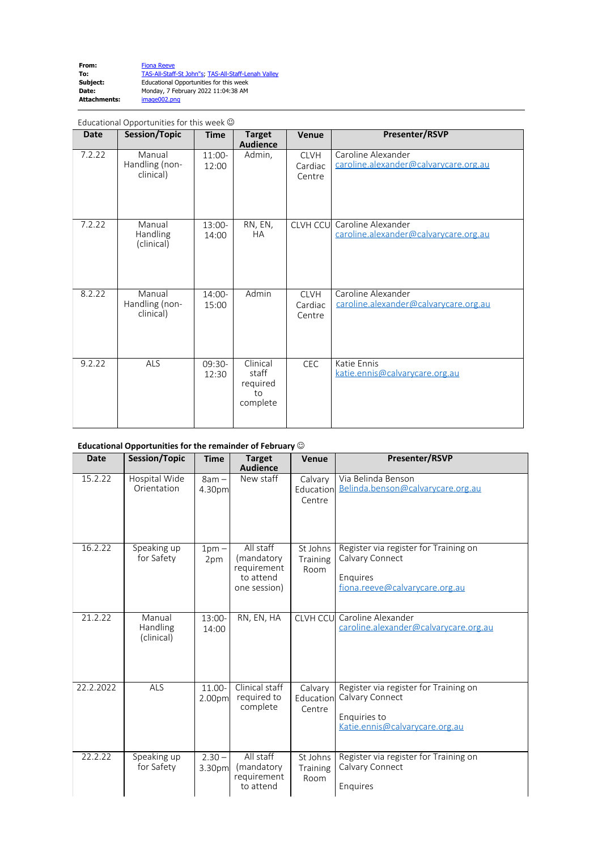| From:               | <b>Fiona Reeve</b>                                  |
|---------------------|-----------------------------------------------------|
| To:                 | TAS-All-Staff-St John"s: TAS-All-Staff-Lenah Valley |
| Subject:            | Educational Opportunities for this week             |
| Date:               | Monday, 7 February 2022 11:04:38 AM                 |
| <b>Attachments:</b> | image002.png                                        |
|                     |                                                     |

| Educational Opportunities for this week $\odot$ |                                       |                   |                                                 |                                  |                                                                      |
|-------------------------------------------------|---------------------------------------|-------------------|-------------------------------------------------|----------------------------------|----------------------------------------------------------------------|
| <b>Date</b>                                     | <b>Session/Topic</b>                  | <b>Time</b>       | <b>Target</b><br><b>Audience</b>                | Venue                            | Presenter/RSVP                                                       |
| 7.2.22                                          | Manual<br>Handling (non-<br>clinical) | 11:00-<br>12:00   | Admin,                                          | <b>CLVH</b><br>Cardiac<br>Centre | Caroline Alexander<br>caroline.alexander@calvarycare.org.au          |
| 7.2.22                                          | Manual<br>Handling<br>(clinical)      | $13:00-$<br>14:00 | RN, EN,<br><b>HA</b>                            |                                  | CLVH CCU Caroline Alexander<br>caroline.alexander@calvarycare.org.au |
| 8.2.22                                          | Manual<br>Handling (non-<br>clinical) | $14:00-$<br>15:00 | Admin                                           | <b>CLVH</b><br>Cardiac<br>Centre | Caroline Alexander<br>caroline.alexander@calvarycare.org.au          |
| 9.2.22                                          | ALS                                   | $09:30-$<br>12:30 | Clinical<br>staff<br>required<br>to<br>complete | <b>CEC</b>                       | Katie Ennis<br>katie.ennis@calvarycare.org.au                        |

## **Educational Opportunities for the remainder of February** J

| <b>Date</b> | Session/Topic                    | <b>Time</b>            | <b>Target</b><br><b>Audience</b>                                    | Venue                          | Presenter/RSVP                                                                                             |
|-------------|----------------------------------|------------------------|---------------------------------------------------------------------|--------------------------------|------------------------------------------------------------------------------------------------------------|
| 15.2.22     | Hospital Wide<br>Orientation     | $8am -$<br>4.30pm      | New staff                                                           | Calvary<br>Education<br>Centre | Via Belinda Benson<br>Belinda.benson@calvarycare.org.au                                                    |
| 16.2.22     | Speaking up<br>for Safety        | 1 <sub>pm</sub><br>2pm | All staff<br>(mandatory<br>requirement<br>to attend<br>one session) | St Johns<br>Training<br>Room   | Register via register for Training on<br>Calvary Connect<br>Enguires<br>fiona.reeve@calvarycare.org.au     |
| 21.2.22     | Manual<br>Handling<br>(clinical) | 13:00-<br>14:00        | RN, EN, HA                                                          |                                | <b>CLVH CCU</b> Caroline Alexander<br>caroline.alexander@calvarycare.org.au                                |
| 22.2.2022   | <b>ALS</b>                       | $11.00 -$<br>2.00pm    | Clinical staff<br>required to<br>complete                           | Calvary<br>Education<br>Centre | Register via register for Training on<br>Calvary Connect<br>Enquiries to<br>Katie.ennis@calvarycare.org.au |
| 22.2.22     | Speaking up<br>for Safety        | $2.30 -$<br>3.30pm     | All staff<br>(mandatory<br>requirement<br>to attend                 | St Johns<br>Training<br>Room   | Register via register for Training on<br>Calvary Connect<br>Enquires                                       |